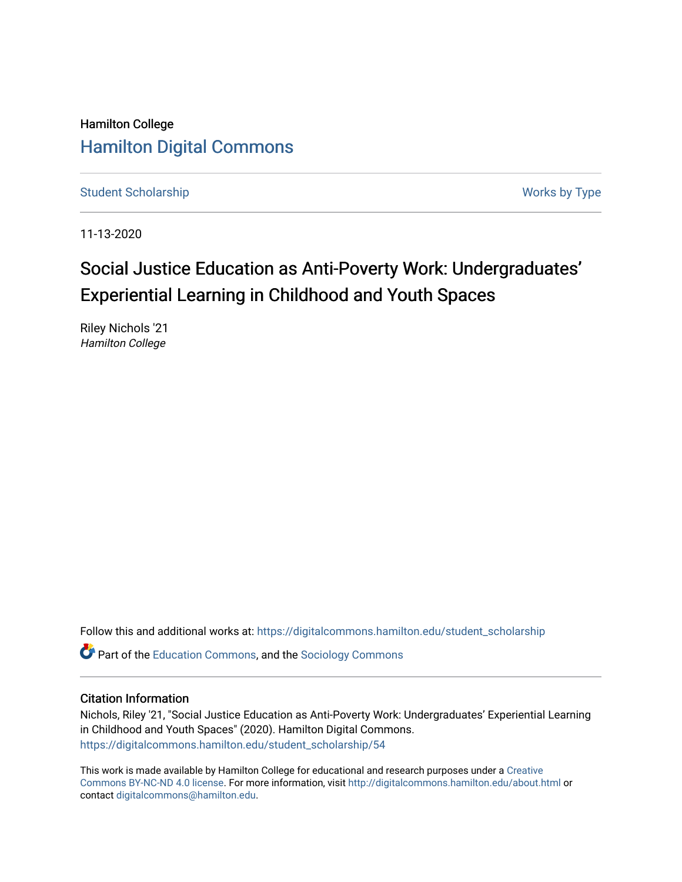Hamilton College [Hamilton Digital Commons](https://digitalcommons.hamilton.edu/) 

[Student Scholarship](https://digitalcommons.hamilton.edu/student_scholarship) Works by Type

11-13-2020

# Social Justice Education as Anti-Poverty Work: Undergraduates' Experiential Learning in Childhood and Youth Spaces

Riley Nichols '21 Hamilton College

Follow this and additional works at: [https://digitalcommons.hamilton.edu/student\\_scholarship](https://digitalcommons.hamilton.edu/student_scholarship?utm_source=digitalcommons.hamilton.edu%2Fstudent_scholarship%2F54&utm_medium=PDF&utm_campaign=PDFCoverPages) 

Part of the [Education Commons](http://network.bepress.com/hgg/discipline/784?utm_source=digitalcommons.hamilton.edu%2Fstudent_scholarship%2F54&utm_medium=PDF&utm_campaign=PDFCoverPages), and the [Sociology Commons](http://network.bepress.com/hgg/discipline/416?utm_source=digitalcommons.hamilton.edu%2Fstudent_scholarship%2F54&utm_medium=PDF&utm_campaign=PDFCoverPages)

# Citation Information

Nichols, Riley '21, "Social Justice Education as Anti-Poverty Work: Undergraduates' Experiential Learning in Childhood and Youth Spaces" (2020). Hamilton Digital Commons. [https://digitalcommons.hamilton.edu/student\\_scholarship/54](https://digitalcommons.hamilton.edu/student_scholarship/54?utm_source=digitalcommons.hamilton.edu%2Fstudent_scholarship%2F54&utm_medium=PDF&utm_campaign=PDFCoverPages)

This work is made available by Hamilton College for educational and research purposes under a [Creative](https://creativecommons.org/licenses/by-nc-nd/4.0/)  [Commons BY-NC-ND 4.0 license.](https://creativecommons.org/licenses/by-nc-nd/4.0/) For more information, visit <http://digitalcommons.hamilton.edu/about.html> or contact [digitalcommons@hamilton.edu.](mailto:digitalcommons@hamilton.edu)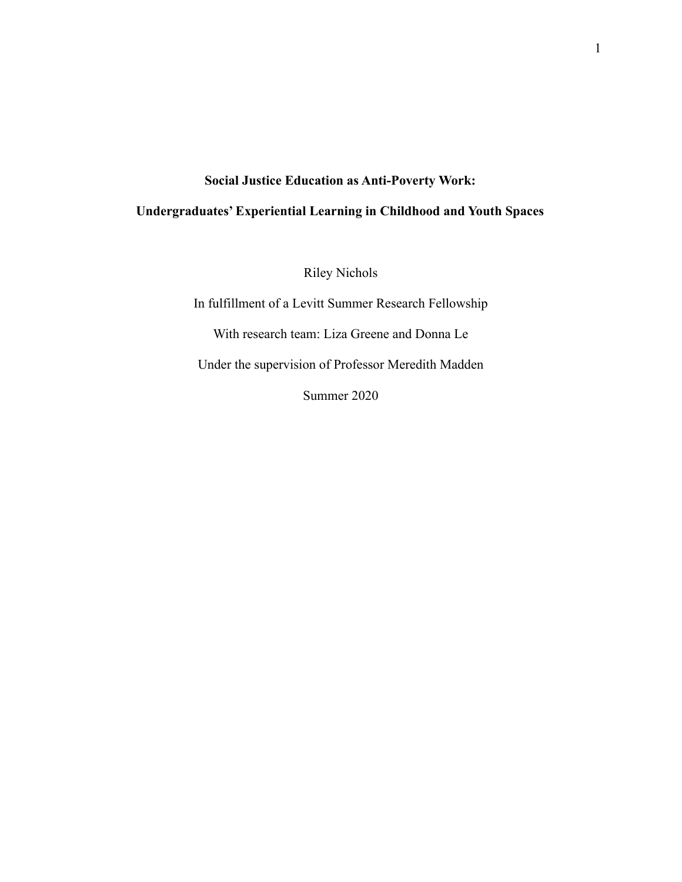# **Social Justice Education as Anti-Poverty Work:**

# **Undergraduates' Experiential Learning in Childhood and Youth Spaces**

Riley Nichols

In fulfillment of a Levitt Summer Research Fellowship With research team: Liza Greene and Donna Le Under the supervision of Professor Meredith Madden Summer 2020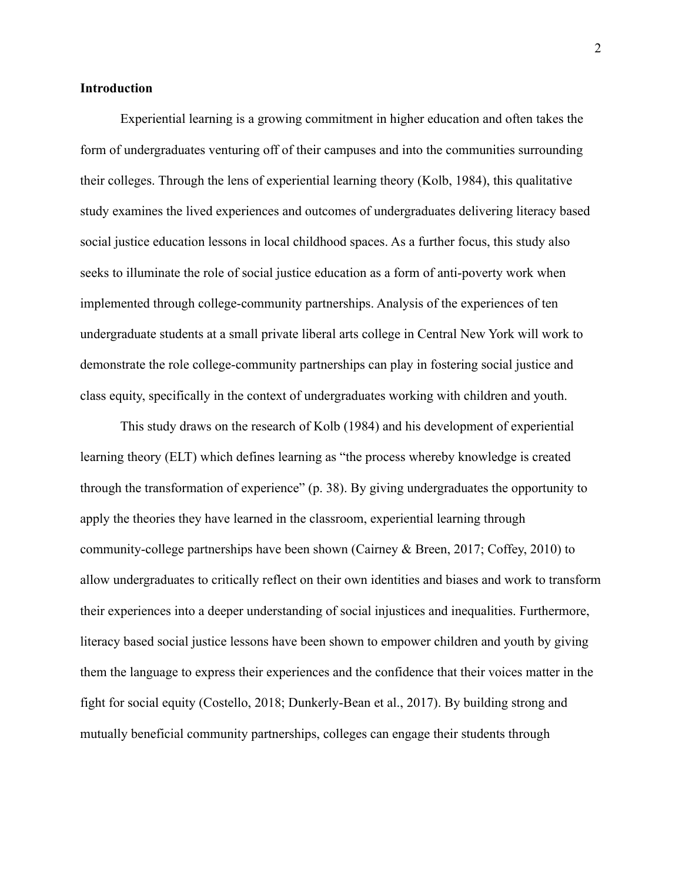# **Introduction**

Experiential learning is a growing commitment in higher education and often takes the form of undergraduates venturing off of their campuses and into the communities surrounding their colleges. Through the lens of experiential learning theory (Kolb, 1984), this qualitative study examines the lived experiences and outcomes of undergraduates delivering literacy based social justice education lessons in local childhood spaces. As a further focus, this study also seeks to illuminate the role of social justice education as a form of anti-poverty work when implemented through college-community partnerships. Analysis of the experiences of ten undergraduate students at a small private liberal arts college in Central New York will work to demonstrate the role college-community partnerships can play in fostering social justice and class equity, specifically in the context of undergraduates working with children and youth.

This study draws on the research of Kolb (1984) and his development of experiential learning theory (ELT) which defines learning as "the process whereby knowledge is created through the transformation of experience" (p. 38). By giving undergraduates the opportunity to apply the theories they have learned in the classroom, experiential learning through community-college partnerships have been shown (Cairney & Breen, 2017; Coffey, 2010) to allow undergraduates to critically reflect on their own identities and biases and work to transform their experiences into a deeper understanding of social injustices and inequalities. Furthermore, literacy based social justice lessons have been shown to empower children and youth by giving them the language to express their experiences and the confidence that their voices matter in the fight for social equity (Costello, 2018; Dunkerly-Bean et al., 2017). By building strong and mutually beneficial community partnerships, colleges can engage their students through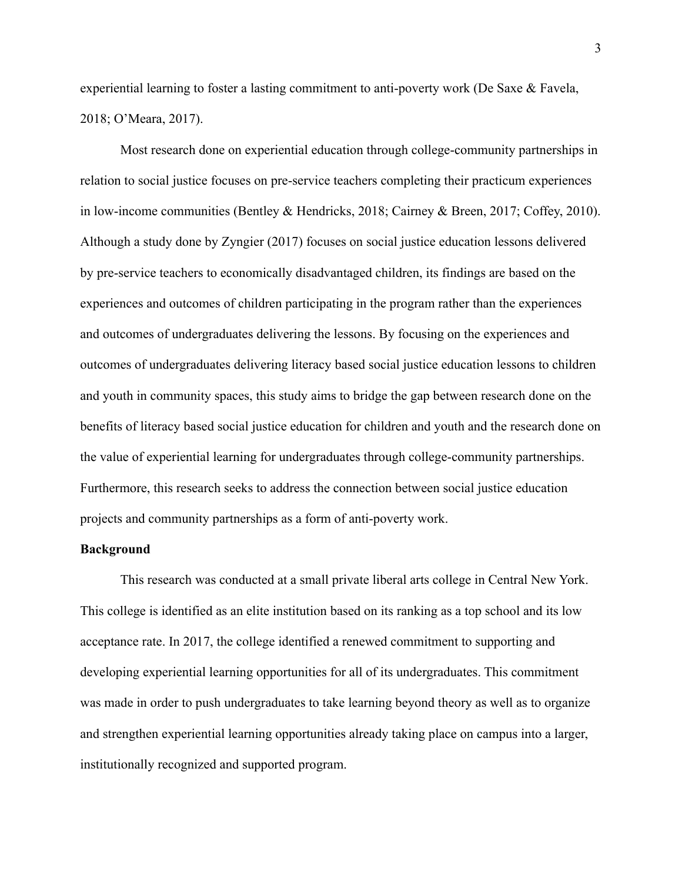experiential learning to foster a lasting commitment to anti-poverty work (De Saxe & Favela, 2018; O'Meara, 2017).

Most research done on experiential education through college-community partnerships in relation to social justice focuses on pre-service teachers completing their practicum experiences in low-income communities (Bentley & Hendricks, 2018; Cairney & Breen, 2017; Coffey, 2010). Although a study done by Zyngier (2017) focuses on social justice education lessons delivered by pre-service teachers to economically disadvantaged children, its findings are based on the experiences and outcomes of children participating in the program rather than the experiences and outcomes of undergraduates delivering the lessons. By focusing on the experiences and outcomes of undergraduates delivering literacy based social justice education lessons to children and youth in community spaces, this study aims to bridge the gap between research done on the benefits of literacy based social justice education for children and youth and the research done on the value of experiential learning for undergraduates through college-community partnerships. Furthermore, this research seeks to address the connection between social justice education projects and community partnerships as a form of anti-poverty work.

#### **Background**

This research was conducted at a small private liberal arts college in Central New York. This college is identified as an elite institution based on its ranking as a top school and its low acceptance rate. In 2017, the college identified a renewed commitment to supporting and developing experiential learning opportunities for all of its undergraduates. This commitment was made in order to push undergraduates to take learning beyond theory as well as to organize and strengthen experiential learning opportunities already taking place on campus into a larger, institutionally recognized and supported program.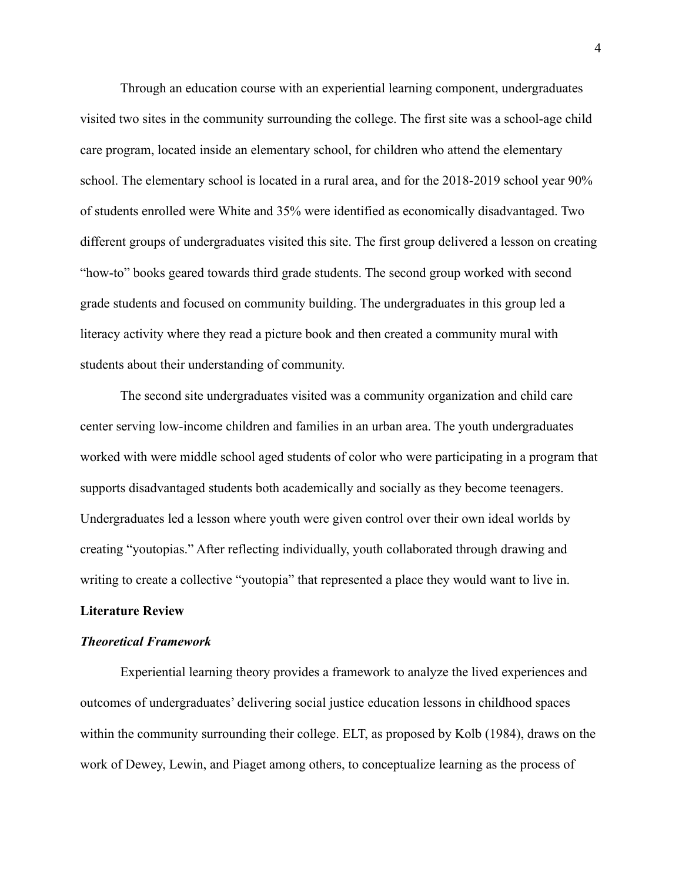Through an education course with an experiential learning component, undergraduates visited two sites in the community surrounding the college. The first site was a school-age child care program, located inside an elementary school, for children who attend the elementary school. The elementary school is located in a rural area, and for the 2018-2019 school year 90% of students enrolled were White and 35% were identified as economically disadvantaged. Two different groups of undergraduates visited this site. The first group delivered a lesson on creating "how-to" books geared towards third grade students. The second group worked with second grade students and focused on community building. The undergraduates in this group led a literacy activity where they read a picture book and then created a community mural with students about their understanding of community.

The second site undergraduates visited was a community organization and child care center serving low-income children and families in an urban area. The youth undergraduates worked with were middle school aged students of color who were participating in a program that supports disadvantaged students both academically and socially as they become teenagers. Undergraduates led a lesson where youth were given control over their own ideal worlds by creating "youtopias." After reflecting individually, youth collaborated through drawing and writing to create a collective "youtopia" that represented a place they would want to live in.

# **Literature Review**

#### *Theoretical Framework*

Experiential learning theory provides a framework to analyze the lived experiences and outcomes of undergraduates' delivering social justice education lessons in childhood spaces within the community surrounding their college. ELT, as proposed by Kolb (1984), draws on the work of Dewey, Lewin, and Piaget among others, to conceptualize learning as the process of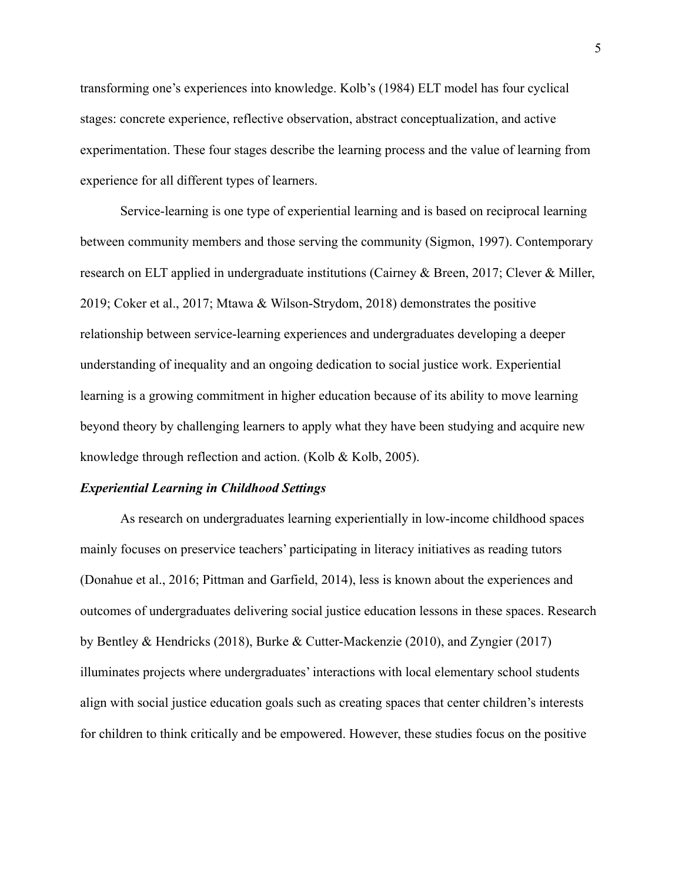transforming one's experiences into knowledge. Kolb's (1984) ELT model has four cyclical stages: concrete experience, reflective observation, abstract conceptualization, and active experimentation. These four stages describe the learning process and the value of learning from experience for all different types of learners.

Service-learning is one type of experiential learning and is based on reciprocal learning between community members and those serving the community (Sigmon, 1997). Contemporary research on ELT applied in undergraduate institutions (Cairney & Breen, 2017; Clever & Miller, 2019; Coker et al., 2017; Mtawa & Wilson-Strydom, 2018) demonstrates the positive relationship between service-learning experiences and undergraduates developing a deeper understanding of inequality and an ongoing dedication to social justice work. Experiential learning is a growing commitment in higher education because of its ability to move learning beyond theory by challenging learners to apply what they have been studying and acquire new knowledge through reflection and action. (Kolb & Kolb, 2005).

#### *Experiential Learning in Childhood Settings*

As research on undergraduates learning experientially in low-income childhood spaces mainly focuses on preservice teachers' participating in literacy initiatives as reading tutors (Donahue et al., 2016; Pittman and Garfield, 2014), less is known about the experiences and outcomes of undergraduates delivering social justice education lessons in these spaces. Research by Bentley & Hendricks (2018), Burke & Cutter-Mackenzie (2010), and Zyngier (2017) illuminates projects where undergraduates' interactions with local elementary school students align with social justice education goals such as creating spaces that center children's interests for children to think critically and be empowered. However, these studies focus on the positive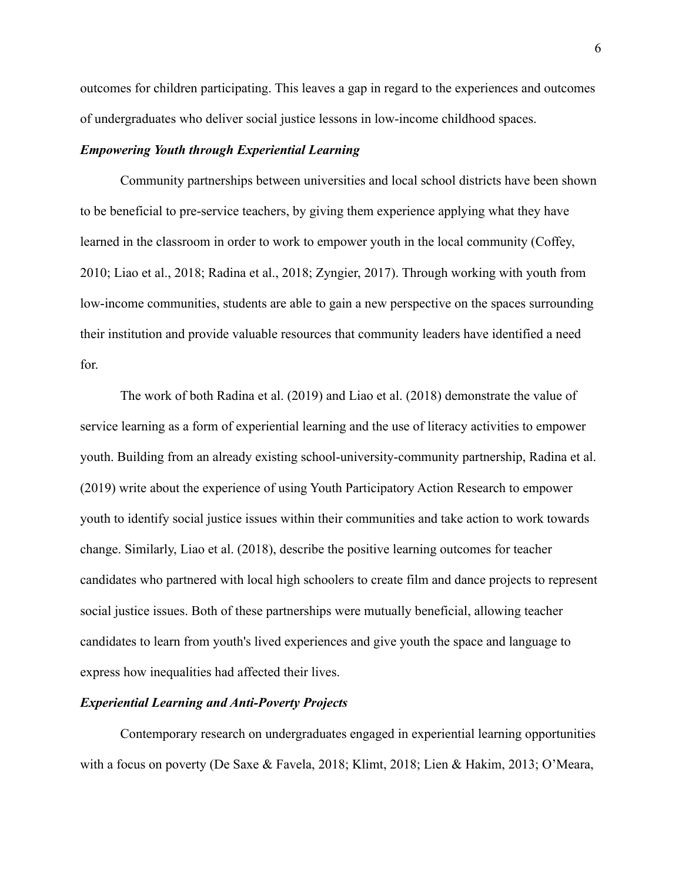outcomes for children participating. This leaves a gap in regard to the experiences and outcomes of undergraduates who deliver social justice lessons in low-income childhood spaces.

# *Empowering Youth through Experiential Learning*

Community partnerships between universities and local school districts have been shown to be beneficial to pre-service teachers, by giving them experience applying what they have learned in the classroom in order to work to empower youth in the local community (Coffey, 2010; Liao et al., 2018; Radina et al., 2018; Zyngier, 2017). Through working with youth from low-income communities, students are able to gain a new perspective on the spaces surrounding their institution and provide valuable resources that community leaders have identified a need for.

The work of both Radina et al. (2019) and Liao et al. (2018) demonstrate the value of service learning as a form of experiential learning and the use of literacy activities to empower youth. Building from an already existing school-university-community partnership, Radina et al. (2019) write about the experience of using Youth Participatory Action Research to empower youth to identify social justice issues within their communities and take action to work towards change. Similarly, Liao et al. (2018), describe the positive learning outcomes for teacher candidates who partnered with local high schoolers to create film and dance projects to represent social justice issues. Both of these partnerships were mutually beneficial, allowing teacher candidates to learn from youth's lived experiences and give youth the space and language to express how inequalities had affected their lives.

# *Experiential Learning and Anti-Poverty Projects*

Contemporary research on undergraduates engaged in experiential learning opportunities with a focus on poverty (De Saxe & Favela, 2018; Klimt, 2018; Lien & Hakim, 2013; O'Meara,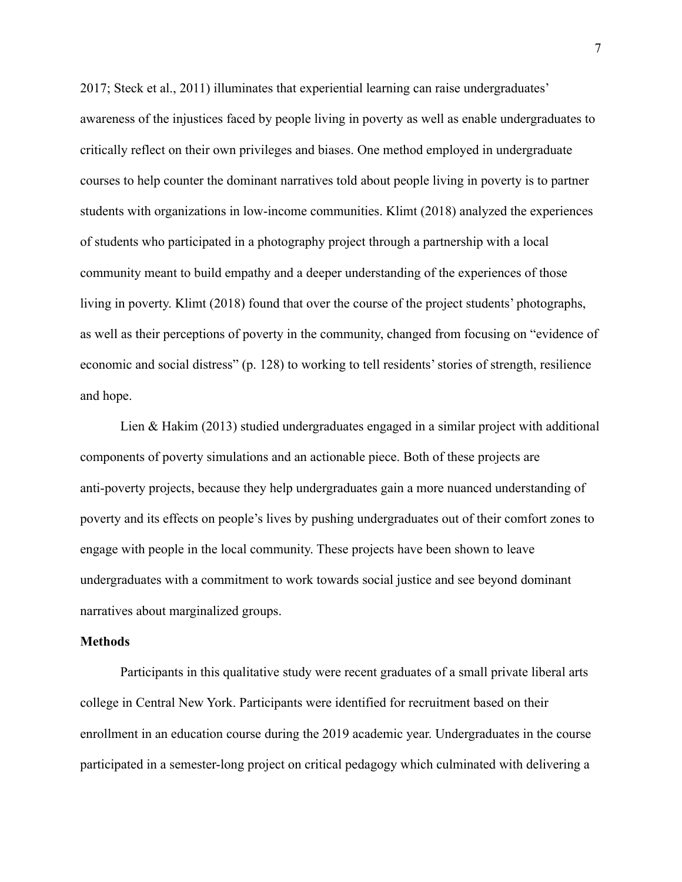2017; Steck et al., 2011) illuminates that experiential learning can raise undergraduates' awareness of the injustices faced by people living in poverty as well as enable undergraduates to critically reflect on their own privileges and biases. One method employed in undergraduate courses to help counter the dominant narratives told about people living in poverty is to partner students with organizations in low-income communities. Klimt (2018) analyzed the experiences of students who participated in a photography project through a partnership with a local community meant to build empathy and a deeper understanding of the experiences of those living in poverty. Klimt (2018) found that over the course of the project students' photographs, as well as their perceptions of poverty in the community, changed from focusing on "evidence of economic and social distress" (p. 128) to working to tell residents' stories of strength, resilience and hope.

Lien & Hakim (2013) studied undergraduates engaged in a similar project with additional components of poverty simulations and an actionable piece. Both of these projects are anti-poverty projects, because they help undergraduates gain a more nuanced understanding of poverty and its effects on people's lives by pushing undergraduates out of their comfort zones to engage with people in the local community. These projects have been shown to leave undergraduates with a commitment to work towards social justice and see beyond dominant narratives about marginalized groups.

#### **Methods**

Participants in this qualitative study were recent graduates of a small private liberal arts college in Central New York. Participants were identified for recruitment based on their enrollment in an education course during the 2019 academic year. Undergraduates in the course participated in a semester-long project on critical pedagogy which culminated with delivering a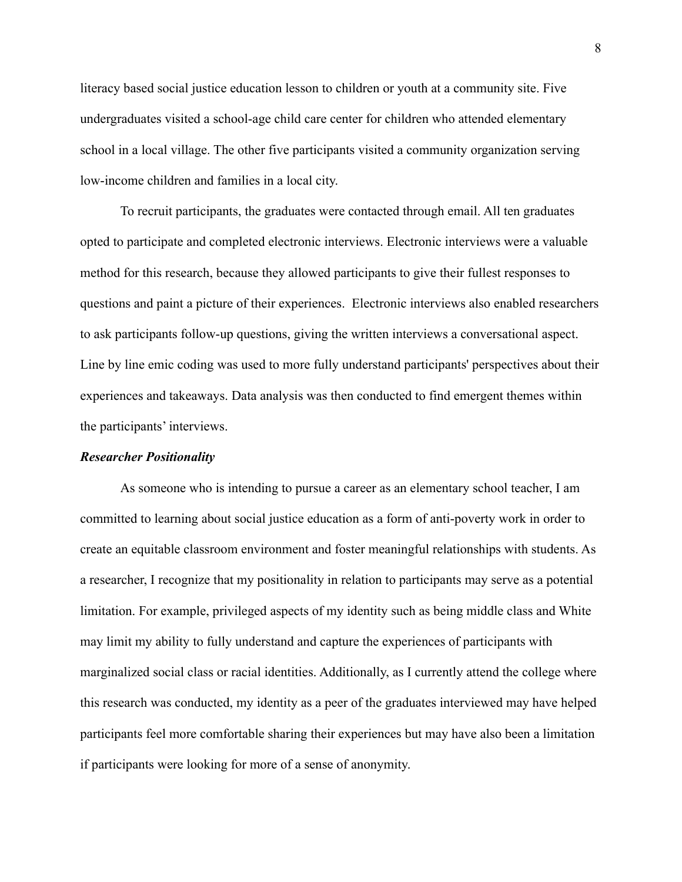literacy based social justice education lesson to children or youth at a community site. Five undergraduates visited a school-age child care center for children who attended elementary school in a local village. The other five participants visited a community organization serving low-income children and families in a local city.

To recruit participants, the graduates were contacted through email. All ten graduates opted to participate and completed electronic interviews. Electronic interviews were a valuable method for this research, because they allowed participants to give their fullest responses to questions and paint a picture of their experiences. Electronic interviews also enabled researchers to ask participants follow-up questions, giving the written interviews a conversational aspect. Line by line emic coding was used to more fully understand participants' perspectives about their experiences and takeaways. Data analysis was then conducted to find emergent themes within the participants' interviews.

#### *Researcher Positionality*

As someone who is intending to pursue a career as an elementary school teacher, I am committed to learning about social justice education as a form of anti-poverty work in order to create an equitable classroom environment and foster meaningful relationships with students. As a researcher, I recognize that my positionality in relation to participants may serve as a potential limitation. For example, privileged aspects of my identity such as being middle class and White may limit my ability to fully understand and capture the experiences of participants with marginalized social class or racial identities. Additionally, as I currently attend the college where this research was conducted, my identity as a peer of the graduates interviewed may have helped participants feel more comfortable sharing their experiences but may have also been a limitation if participants were looking for more of a sense of anonymity.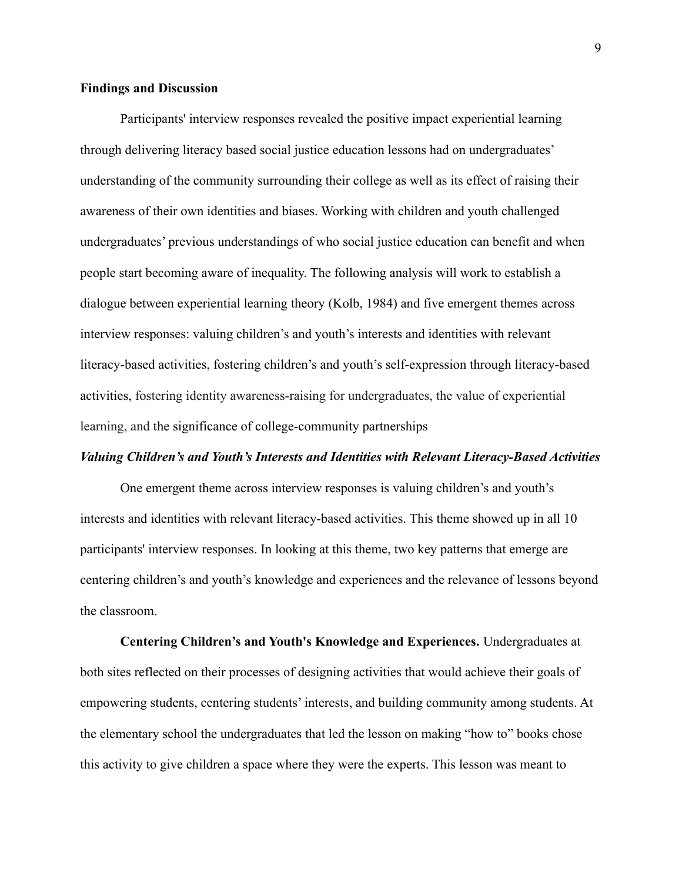# **Findings and Discussion**

Participants' interview responses revealed the positive impact experiential learning through delivering literacy based social justice education lessons had on undergraduates' understanding of the community surrounding their college as well as its effect of raising their awareness of their own identities and biases. Working with children and youth challenged undergraduates' previous understandings of who social justice education can benefit and when people start becoming aware of inequality. The following analysis will work to establish a dialogue between experiential learning theory (Kolb, 1984) and five emergent themes across interview responses: valuing children's and youth's interests and identities with relevant literacy-based activities, fostering children's and youth's self-expression through literacy-based activities, fostering identity awareness-raising for undergraduates, the value of experiential learning, and the significance of college-community partnerships

# *Valuing Children's and Youth's Interests and Identities with Relevant Literacy-Based Activities*

One emergent theme across interview responses is valuing children's and youth's interests and identities with relevant literacy-based activities. This theme showed up in all 10 participants' interview responses. In looking at this theme, two key patterns that emerge are centering children's and youth's knowledge and experiences and the relevance of lessons beyond the classroom.

**Centering Children's and Youth's Knowledge and Experiences.** Undergraduates at both sites reflected on their processes of designing activities that would achieve their goals of empowering students, centering students' interests, and building community among students. At the elementary school the undergraduates that led the lesson on making "how to" books chose this activity to give children a space where they were the experts. This lesson was meant to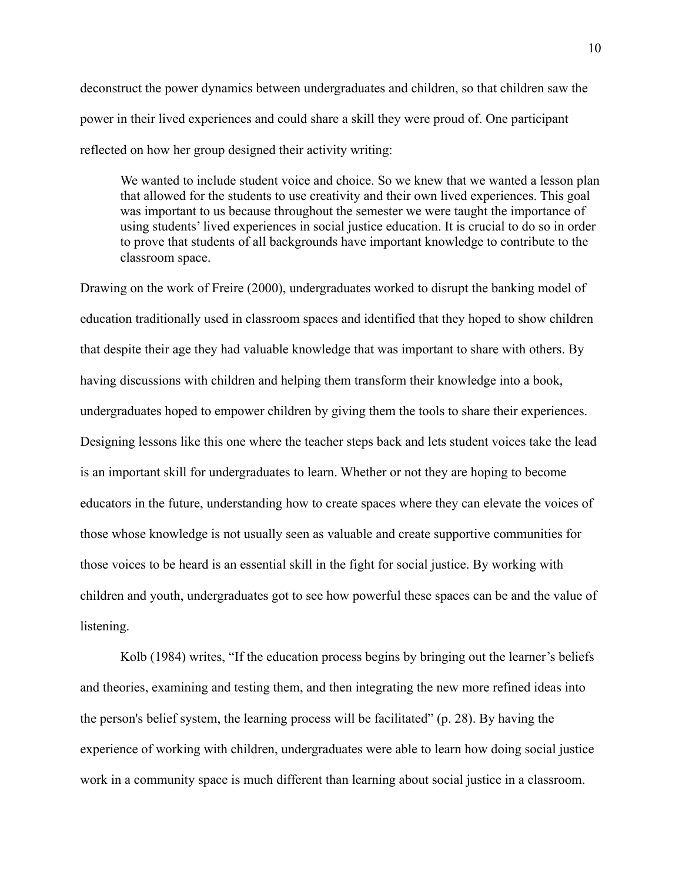deconstruct the power dynamics between undergraduates and children, so that children saw the power in their lived experiences and could share a skill they were proud of. One participant reflected on how her group designed their activity writing:

We wanted to include student voice and choice. So we knew that we wanted a lesson plan that allowed for the students to use creativity and their own lived experiences. This goal was important to us because throughout the semester we were taught the importance of using students' lived experiences in social justice education. It is crucial to do so in order to prove that students of all backgrounds have important knowledge to contribute to the classroom space.

Drawing on the work of Freire (2000), undergraduates worked to disrupt the banking model of education traditionally used in classroom spaces and identified that they hoped to show children that despite their age they had valuable knowledge that was important to share with others. By having discussions with children and helping them transform their knowledge into a book, undergraduates hoped to empower children by giving them the tools to share their experiences. Designing lessons like this one where the teacher steps back and lets student voices take the lead is an important skill for undergraduates to learn. Whether or not they are hoping to become educators in the future, understanding how to create spaces where they can elevate the voices of those whose knowledge is not usually seen as valuable and create supportive communities for those voices to be heard is an essential skill in the fight for social justice. By working with children and youth, undergraduates got to see how powerful these spaces can be and the value of listening.

Kolb (1984) writes, "If the education process begins by bringing out the learner's beliefs and theories, examining and testing them, and then integrating the new more refined ideas into the person's belief system, the learning process will be facilitated" (p. 28). By having the experience of working with children, undergraduates were able to learn how doing social justice work in a community space is much different than learning about social justice in a classroom.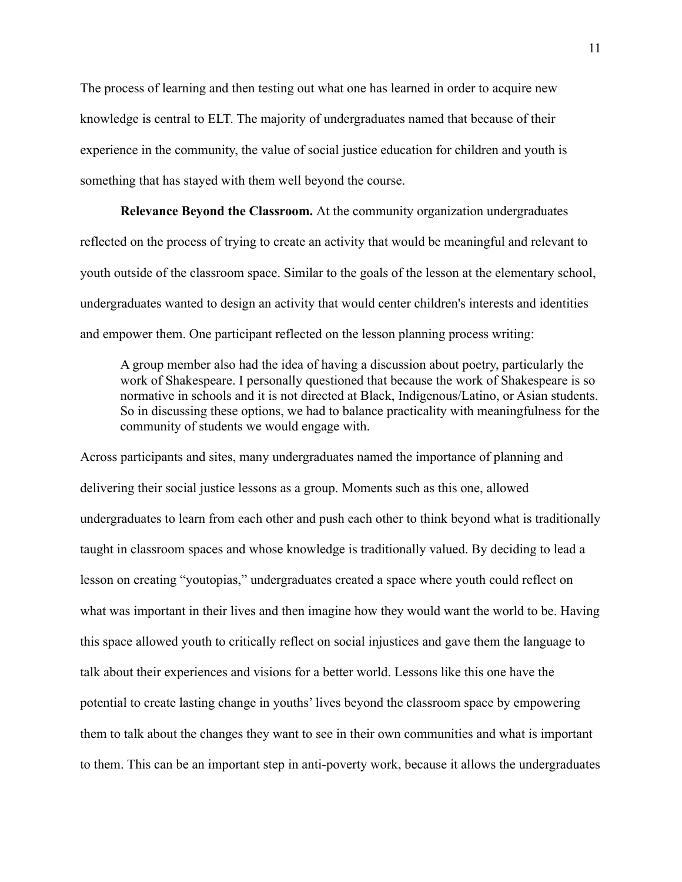The process of learning and then testing out what one has learned in order to acquire new knowledge is central to ELT. The majority of undergraduates named that because of their experience in the community, the value of social justice education for children and youth is something that has stayed with them well beyond the course.

**Relevance Beyond the Classroom.** At the community organization undergraduates reflected on the process of trying to create an activity that would be meaningful and relevant to youth outside of the classroom space. Similar to the goals of the lesson at the elementary school, undergraduates wanted to design an activity that would center children's interests and identities and empower them. One participant reflected on the lesson planning process writing:

A group member also had the idea of having a discussion about poetry, particularly the work of Shakespeare. I personally questioned that because the work of Shakespeare is so normative in schools and it is not directed at Black, Indigenous/Latino, or Asian students. So in discussing these options, we had to balance practicality with meaningfulness for the community of students we would engage with.

Across participants and sites, many undergraduates named the importance of planning and delivering their social justice lessons as a group. Moments such as this one, allowed undergraduates to learn from each other and push each other to think beyond what is traditionally taught in classroom spaces and whose knowledge is traditionally valued. By deciding to lead a lesson on creating "youtopias," undergraduates created a space where youth could reflect on what was important in their lives and then imagine how they would want the world to be. Having this space allowed youth to critically reflect on social injustices and gave them the language to talk about their experiences and visions for a better world. Lessons like this one have the potential to create lasting change in youths' lives beyond the classroom space by empowering them to talk about the changes they want to see in their own communities and what is important to them. This can be an important step in anti-poverty work, because it allows the undergraduates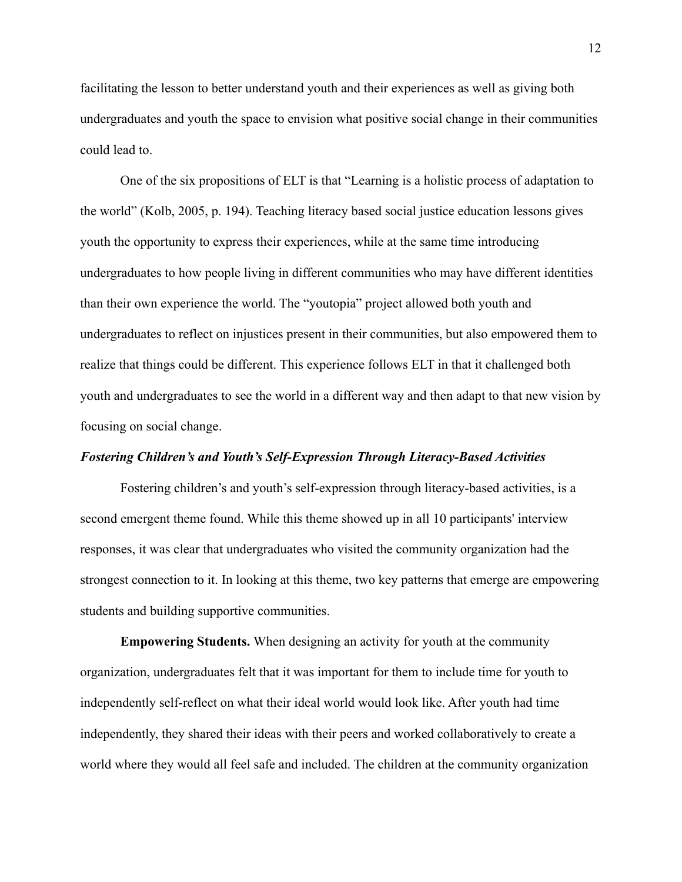facilitating the lesson to better understand youth and their experiences as well as giving both undergraduates and youth the space to envision what positive social change in their communities could lead to.

One of the six propositions of ELT is that "Learning is a holistic process of adaptation to the world" (Kolb, 2005, p. 194). Teaching literacy based social justice education lessons gives youth the opportunity to express their experiences, while at the same time introducing undergraduates to how people living in different communities who may have different identities than their own experience the world. The "youtopia" project allowed both youth and undergraduates to reflect on injustices present in their communities, but also empowered them to realize that things could be different. This experience follows ELT in that it challenged both youth and undergraduates to see the world in a different way and then adapt to that new vision by focusing on social change.

# *Fostering Children's and Youth's Self-Expression Through Literacy-Based Activities*

Fostering children's and youth's self-expression through literacy-based activities, is a second emergent theme found. While this theme showed up in all 10 participants' interview responses, it was clear that undergraduates who visited the community organization had the strongest connection to it. In looking at this theme, two key patterns that emerge are empowering students and building supportive communities.

**Empowering Students.** When designing an activity for youth at the community organization, undergraduates felt that it was important for them to include time for youth to independently self-reflect on what their ideal world would look like. After youth had time independently, they shared their ideas with their peers and worked collaboratively to create a world where they would all feel safe and included. The children at the community organization

12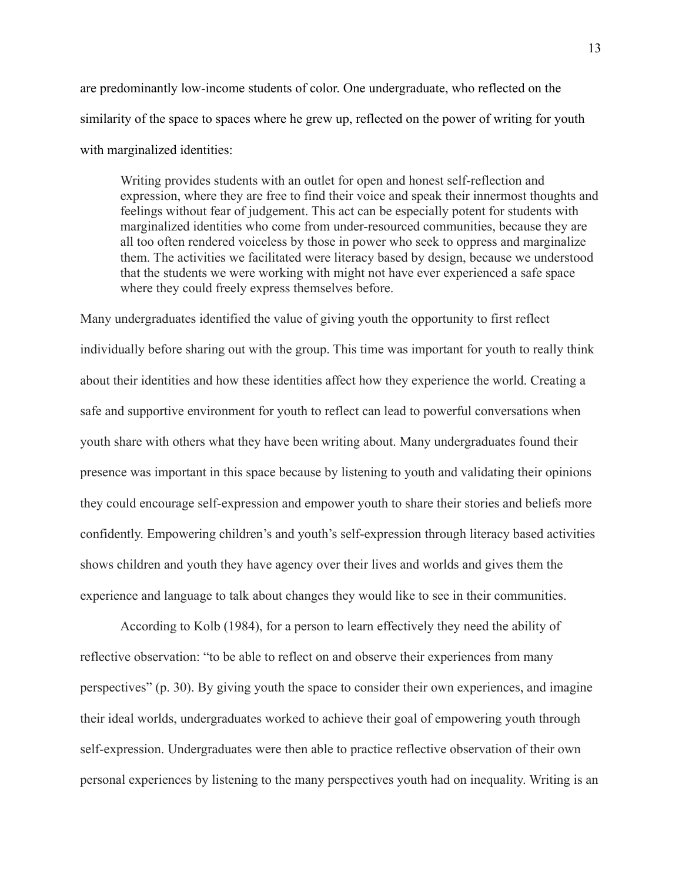are predominantly low-income students of color. One undergraduate, who reflected on the similarity of the space to spaces where he grew up, reflected on the power of writing for youth with marginalized identities:

Writing provides students with an outlet for open and honest self-reflection and expression, where they are free to find their voice and speak their innermost thoughts and feelings without fear of judgement. This act can be especially potent for students with marginalized identities who come from under-resourced communities, because they are all too often rendered voiceless by those in power who seek to oppress and marginalize them. The activities we facilitated were literacy based by design, because we understood that the students we were working with might not have ever experienced a safe space where they could freely express themselves before.

Many undergraduates identified the value of giving youth the opportunity to first reflect individually before sharing out with the group. This time was important for youth to really think about their identities and how these identities affect how they experience the world. Creating a safe and supportive environment for youth to reflect can lead to powerful conversations when youth share with others what they have been writing about. Many undergraduates found their presence was important in this space because by listening to youth and validating their opinions they could encourage self-expression and empower youth to share their stories and beliefs more confidently. Empowering children's and youth's self-expression through literacy based activities shows children and youth they have agency over their lives and worlds and gives them the experience and language to talk about changes they would like to see in their communities.

According to Kolb (1984), for a person to learn effectively they need the ability of reflective observation: "to be able to reflect on and observe their experiences from many perspectives" (p. 30). By giving youth the space to consider their own experiences, and imagine their ideal worlds, undergraduates worked to achieve their goal of empowering youth through self-expression. Undergraduates were then able to practice reflective observation of their own personal experiences by listening to the many perspectives youth had on inequality. Writing is an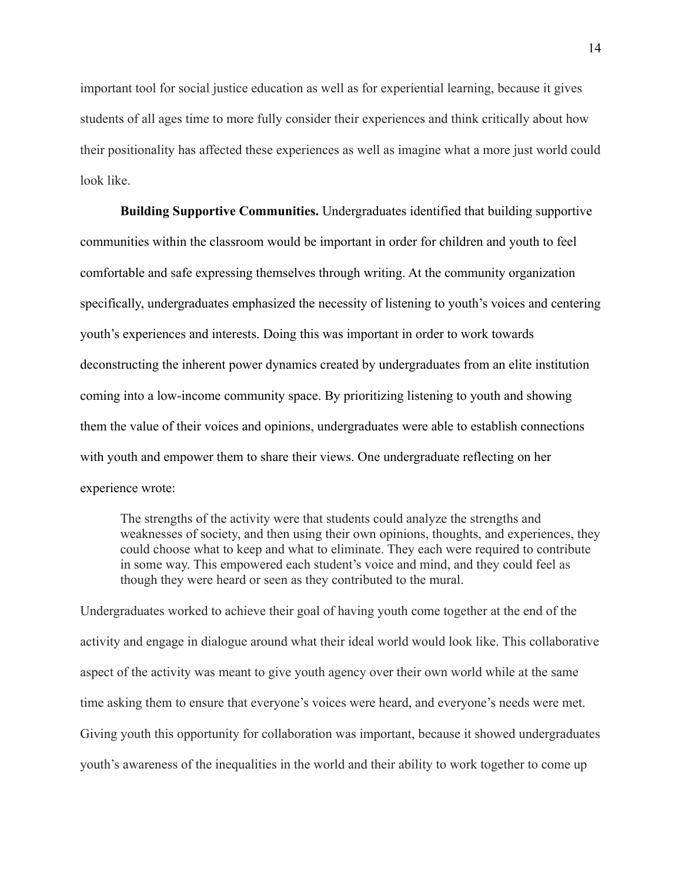important tool for social justice education as well as for experiential learning, because it gives students of all ages time to more fully consider their experiences and think critically about how their positionality has affected these experiences as well as imagine what a more just world could look like.

**Building Supportive Communities.** Undergraduates identified that building supportive communities within the classroom would be important in order for children and youth to feel comfortable and safe expressing themselves through writing. At the community organization specifically, undergraduates emphasized the necessity of listening to youth's voices and centering youth's experiences and interests. Doing this was important in order to work towards deconstructing the inherent power dynamics created by undergraduates from an elite institution coming into a low-income community space. By prioritizing listening to youth and showing them the value of their voices and opinions, undergraduates were able to establish connections with youth and empower them to share their views. One undergraduate reflecting on her experience wrote:

The strengths of the activity were that students could analyze the strengths and weaknesses of society, and then using their own opinions, thoughts, and experiences, they could choose what to keep and what to eliminate. They each were required to contribute in some way. This empowered each student's voice and mind, and they could feel as though they were heard or seen as they contributed to the mural.

Undergraduates worked to achieve their goal of having youth come together at the end of the activity and engage in dialogue around what their ideal world would look like. This collaborative aspect of the activity was meant to give youth agency over their own world while at the same time asking them to ensure that everyone's voices were heard, and everyone's needs were met. Giving youth this opportunity for collaboration was important, because it showed undergraduates youth's awareness of the inequalities in the world and their ability to work together to come up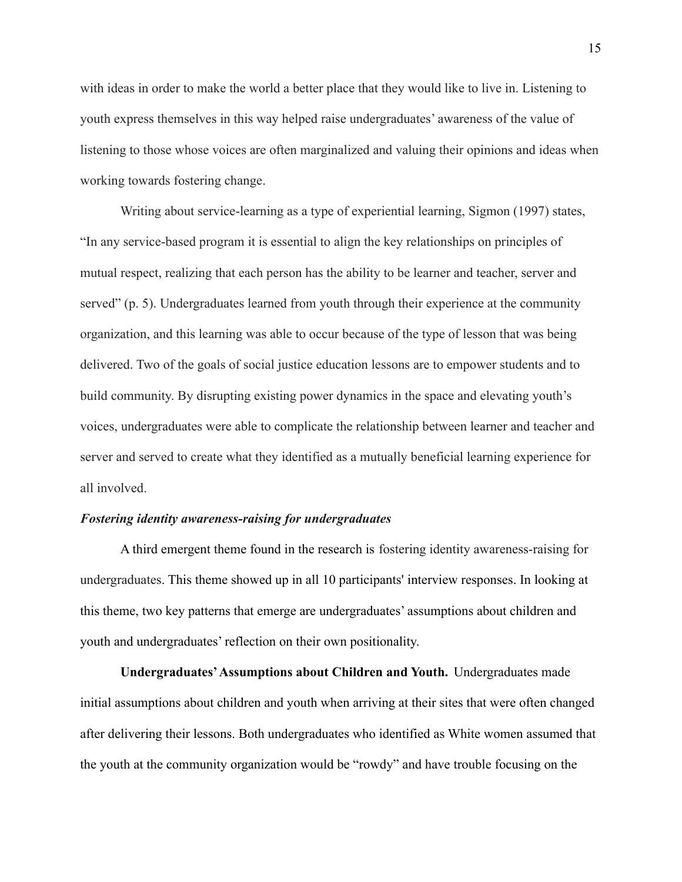with ideas in order to make the world a better place that they would like to live in. Listening to youth express themselves in this way helped raise undergraduates' awareness of the value of listening to those whose voices are often marginalized and valuing their opinions and ideas when working towards fostering change.

Writing about service-learning as a type of experiential learning, Sigmon (1997) states, "In any service-based program it is essential to align the key relationships on principles of mutual respect, realizing that each person has the ability to be learner and teacher, server and served" (p. 5). Undergraduates learned from youth through their experience at the community organization, and this learning was able to occur because of the type of lesson that was being delivered. Two of the goals of social justice education lessons are to empower students and to build community. By disrupting existing power dynamics in the space and elevating youth's voices, undergraduates were able to complicate the relationship between learner and teacher and server and served to create what they identified as a mutually beneficial learning experience for all involved.

# *Fostering identity awareness-raising for undergraduates*

A third emergent theme found in the research is fostering identity awareness-raising for undergraduates. This theme showed up in all 10 participants' interview responses. In looking at this theme, two key patterns that emerge are undergraduates' assumptions about children and youth and undergraduates' reflection on their own positionality.

**Undergraduates'Assumptions about Children and Youth.** Undergraduates made initial assumptions about children and youth when arriving at their sites that were often changed after delivering their lessons. Both undergraduates who identified as White women assumed that the youth at the community organization would be "rowdy" and have trouble focusing on the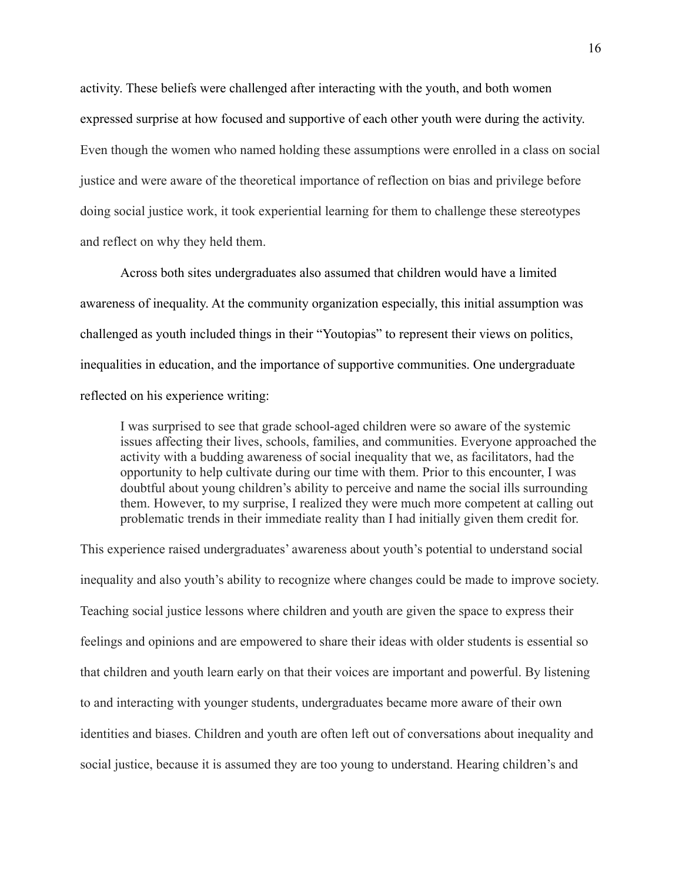activity. These beliefs were challenged after interacting with the youth, and both women expressed surprise at how focused and supportive of each other youth were during the activity. Even though the women who named holding these assumptions were enrolled in a class on social justice and were aware of the theoretical importance of reflection on bias and privilege before doing social justice work, it took experiential learning for them to challenge these stereotypes and reflect on why they held them.

Across both sites undergraduates also assumed that children would have a limited awareness of inequality. At the community organization especially, this initial assumption was challenged as youth included things in their "Youtopias" to represent their views on politics, inequalities in education, and the importance of supportive communities. One undergraduate reflected on his experience writing:

I was surprised to see that grade school-aged children were so aware of the systemic issues affecting their lives, schools, families, and communities. Everyone approached the activity with a budding awareness of social inequality that we, as facilitators, had the opportunity to help cultivate during our time with them. Prior to this encounter, I was doubtful about young children's ability to perceive and name the social ills surrounding them. However, to my surprise, I realized they were much more competent at calling out problematic trends in their immediate reality than I had initially given them credit for.

This experience raised undergraduates' awareness about youth's potential to understand social inequality and also youth's ability to recognize where changes could be made to improve society. Teaching social justice lessons where children and youth are given the space to express their feelings and opinions and are empowered to share their ideas with older students is essential so that children and youth learn early on that their voices are important and powerful. By listening to and interacting with younger students, undergraduates became more aware of their own identities and biases. Children and youth are often left out of conversations about inequality and social justice, because it is assumed they are too young to understand. Hearing children's and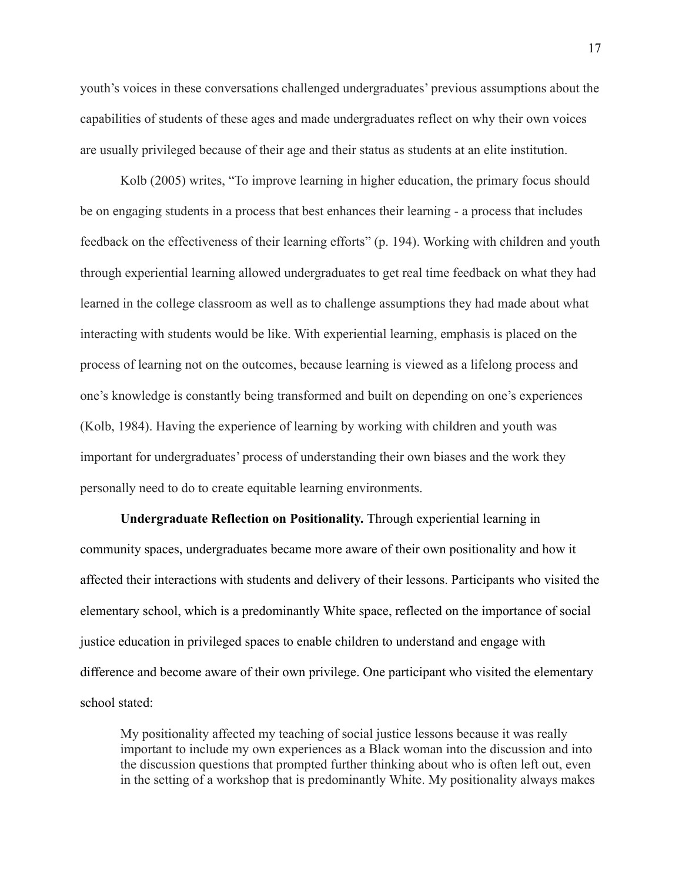youth's voices in these conversations challenged undergraduates' previous assumptions about the capabilities of students of these ages and made undergraduates reflect on why their own voices are usually privileged because of their age and their status as students at an elite institution.

Kolb (2005) writes, "To improve learning in higher education, the primary focus should be on engaging students in a process that best enhances their learning - a process that includes feedback on the effectiveness of their learning efforts" (p. 194). Working with children and youth through experiential learning allowed undergraduates to get real time feedback on what they had learned in the college classroom as well as to challenge assumptions they had made about what interacting with students would be like. With experiential learning, emphasis is placed on the process of learning not on the outcomes, because learning is viewed as a lifelong process and one's knowledge is constantly being transformed and built on depending on one's experiences (Kolb, 1984). Having the experience of learning by working with children and youth was important for undergraduates' process of understanding their own biases and the work they personally need to do to create equitable learning environments.

**Undergraduate Reflection on Positionality.** Through experiential learning in community spaces, undergraduates became more aware of their own positionality and how it affected their interactions with students and delivery of their lessons. Participants who visited the elementary school, which is a predominantly White space, reflected on the importance of social justice education in privileged spaces to enable children to understand and engage with difference and become aware of their own privilege. One participant who visited the elementary school stated:

My positionality affected my teaching of social justice lessons because it was really important to include my own experiences as a Black woman into the discussion and into the discussion questions that prompted further thinking about who is often left out, even in the setting of a workshop that is predominantly White. My positionality always makes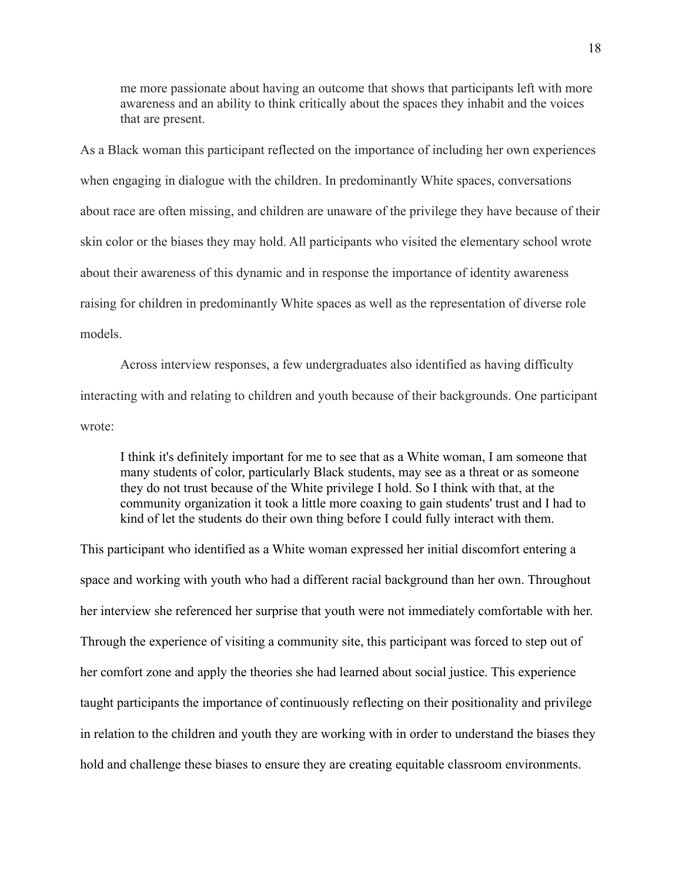me more passionate about having an outcome that shows that participants left with more awareness and an ability to think critically about the spaces they inhabit and the voices that are present.

As a Black woman this participant reflected on the importance of including her own experiences when engaging in dialogue with the children. In predominantly White spaces, conversations about race are often missing, and children are unaware of the privilege they have because of their skin color or the biases they may hold. All participants who visited the elementary school wrote about their awareness of this dynamic and in response the importance of identity awareness raising for children in predominantly White spaces as well as the representation of diverse role models.

Across interview responses, a few undergraduates also identified as having difficulty interacting with and relating to children and youth because of their backgrounds. One participant wrote:

I think it's definitely important for me to see that as a White woman, I am someone that many students of color, particularly Black students, may see as a threat or as someone they do not trust because of the White privilege I hold. So I think with that, at the community organization it took a little more coaxing to gain students' trust and I had to kind of let the students do their own thing before I could fully interact with them.

This participant who identified as a White woman expressed her initial discomfort entering a space and working with youth who had a different racial background than her own. Throughout her interview she referenced her surprise that youth were not immediately comfortable with her. Through the experience of visiting a community site, this participant was forced to step out of her comfort zone and apply the theories she had learned about social justice. This experience taught participants the importance of continuously reflecting on their positionality and privilege in relation to the children and youth they are working with in order to understand the biases they hold and challenge these biases to ensure they are creating equitable classroom environments.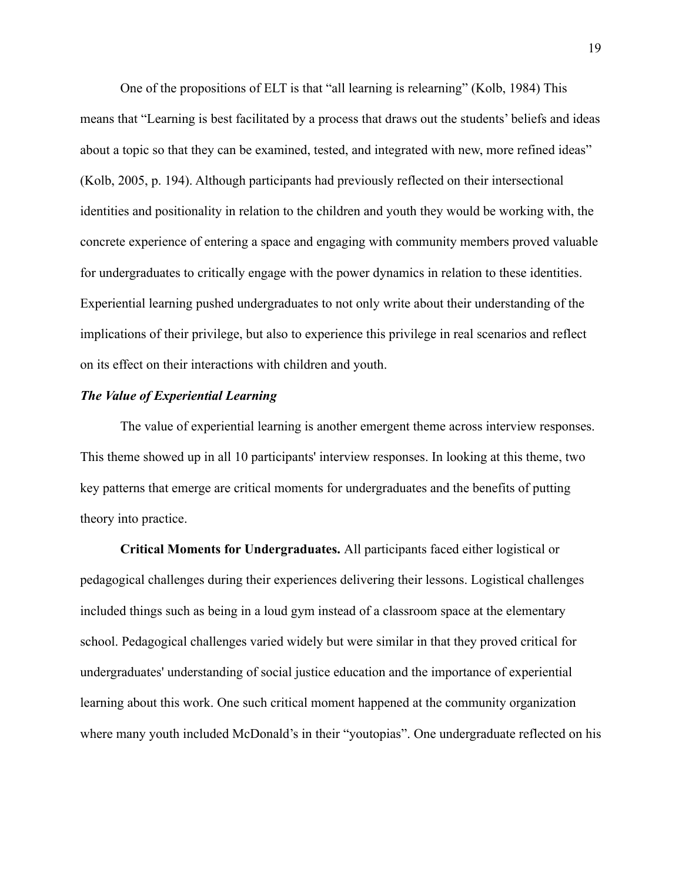One of the propositions of ELT is that "all learning is relearning" (Kolb, 1984) This means that "Learning is best facilitated by a process that draws out the students' beliefs and ideas about a topic so that they can be examined, tested, and integrated with new, more refined ideas" (Kolb, 2005, p. 194). Although participants had previously reflected on their intersectional identities and positionality in relation to the children and youth they would be working with, the concrete experience of entering a space and engaging with community members proved valuable for undergraduates to critically engage with the power dynamics in relation to these identities. Experiential learning pushed undergraduates to not only write about their understanding of the implications of their privilege, but also to experience this privilege in real scenarios and reflect on its effect on their interactions with children and youth.

#### *The Value of Experiential Learning*

The value of experiential learning is another emergent theme across interview responses. This theme showed up in all 10 participants' interview responses. In looking at this theme, two key patterns that emerge are critical moments for undergraduates and the benefits of putting theory into practice.

**Critical Moments for Undergraduates.** All participants faced either logistical or pedagogical challenges during their experiences delivering their lessons. Logistical challenges included things such as being in a loud gym instead of a classroom space at the elementary school. Pedagogical challenges varied widely but were similar in that they proved critical for undergraduates' understanding of social justice education and the importance of experiential learning about this work. One such critical moment happened at the community organization where many youth included McDonald's in their "youtopias". One undergraduate reflected on his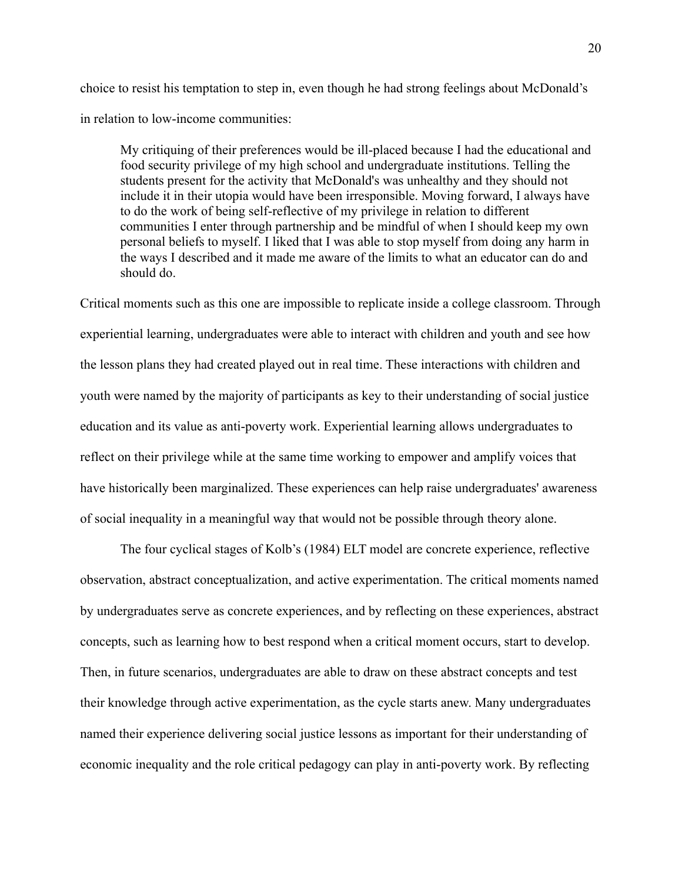choice to resist his temptation to step in, even though he had strong feelings about McDonald's in relation to low-income communities:

My critiquing of their preferences would be ill-placed because I had the educational and food security privilege of my high school and undergraduate institutions. Telling the students present for the activity that McDonald's was unhealthy and they should not include it in their utopia would have been irresponsible. Moving forward, I always have to do the work of being self-reflective of my privilege in relation to different communities I enter through partnership and be mindful of when I should keep my own personal beliefs to myself. I liked that I was able to stop myself from doing any harm in the ways I described and it made me aware of the limits to what an educator can do and should do.

Critical moments such as this one are impossible to replicate inside a college classroom. Through experiential learning, undergraduates were able to interact with children and youth and see how the lesson plans they had created played out in real time. These interactions with children and youth were named by the majority of participants as key to their understanding of social justice education and its value as anti-poverty work. Experiential learning allows undergraduates to reflect on their privilege while at the same time working to empower and amplify voices that have historically been marginalized. These experiences can help raise undergraduates' awareness of social inequality in a meaningful way that would not be possible through theory alone.

The four cyclical stages of Kolb's (1984) ELT model are concrete experience, reflective observation, abstract conceptualization, and active experimentation. The critical moments named by undergraduates serve as concrete experiences, and by reflecting on these experiences, abstract concepts, such as learning how to best respond when a critical moment occurs, start to develop. Then, in future scenarios, undergraduates are able to draw on these abstract concepts and test their knowledge through active experimentation, as the cycle starts anew. Many undergraduates named their experience delivering social justice lessons as important for their understanding of economic inequality and the role critical pedagogy can play in anti-poverty work. By reflecting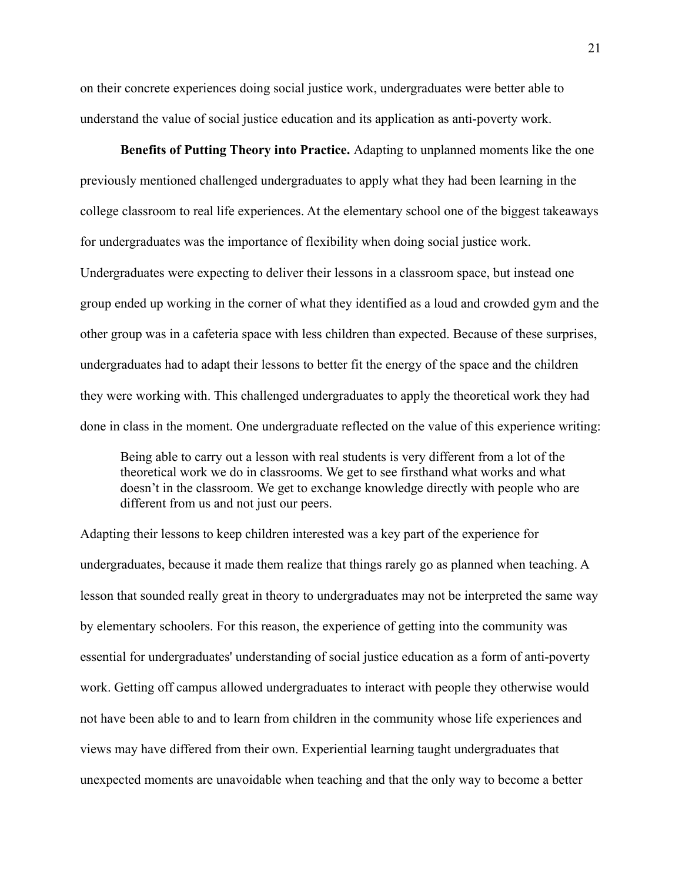on their concrete experiences doing social justice work, undergraduates were better able to understand the value of social justice education and its application as anti-poverty work.

**Benefits of Putting Theory into Practice.** Adapting to unplanned moments like the one previously mentioned challenged undergraduates to apply what they had been learning in the college classroom to real life experiences. At the elementary school one of the biggest takeaways for undergraduates was the importance of flexibility when doing social justice work. Undergraduates were expecting to deliver their lessons in a classroom space, but instead one group ended up working in the corner of what they identified as a loud and crowded gym and the other group was in a cafeteria space with less children than expected. Because of these surprises, undergraduates had to adapt their lessons to better fit the energy of the space and the children they were working with. This challenged undergraduates to apply the theoretical work they had done in class in the moment. One undergraduate reflected on the value of this experience writing:

Being able to carry out a lesson with real students is very different from a lot of the theoretical work we do in classrooms. We get to see firsthand what works and what doesn't in the classroom. We get to exchange knowledge directly with people who are different from us and not just our peers.

Adapting their lessons to keep children interested was a key part of the experience for undergraduates, because it made them realize that things rarely go as planned when teaching. A lesson that sounded really great in theory to undergraduates may not be interpreted the same way by elementary schoolers. For this reason, the experience of getting into the community was essential for undergraduates' understanding of social justice education as a form of anti-poverty work. Getting off campus allowed undergraduates to interact with people they otherwise would not have been able to and to learn from children in the community whose life experiences and views may have differed from their own. Experiential learning taught undergraduates that unexpected moments are unavoidable when teaching and that the only way to become a better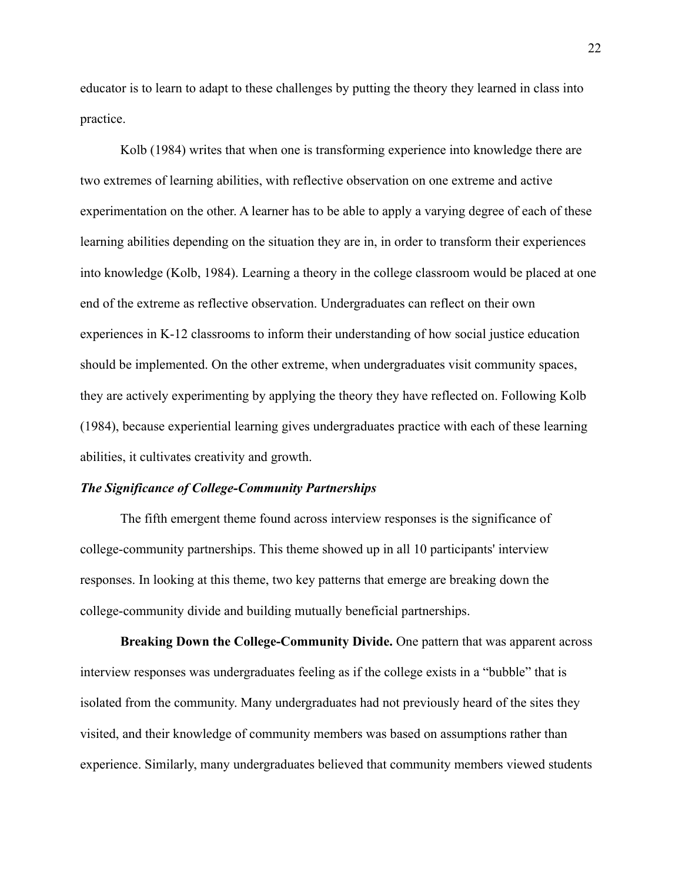educator is to learn to adapt to these challenges by putting the theory they learned in class into practice.

Kolb (1984) writes that when one is transforming experience into knowledge there are two extremes of learning abilities, with reflective observation on one extreme and active experimentation on the other. A learner has to be able to apply a varying degree of each of these learning abilities depending on the situation they are in, in order to transform their experiences into knowledge (Kolb, 1984). Learning a theory in the college classroom would be placed at one end of the extreme as reflective observation. Undergraduates can reflect on their own experiences in K-12 classrooms to inform their understanding of how social justice education should be implemented. On the other extreme, when undergraduates visit community spaces, they are actively experimenting by applying the theory they have reflected on. Following Kolb (1984), because experiential learning gives undergraduates practice with each of these learning abilities, it cultivates creativity and growth.

#### *The Significance of College-Community Partnerships*

The fifth emergent theme found across interview responses is the significance of college-community partnerships. This theme showed up in all 10 participants' interview responses. In looking at this theme, two key patterns that emerge are breaking down the college-community divide and building mutually beneficial partnerships.

**Breaking Down the College-Community Divide.** One pattern that was apparent across interview responses was undergraduates feeling as if the college exists in a "bubble" that is isolated from the community. Many undergraduates had not previously heard of the sites they visited, and their knowledge of community members was based on assumptions rather than experience. Similarly, many undergraduates believed that community members viewed students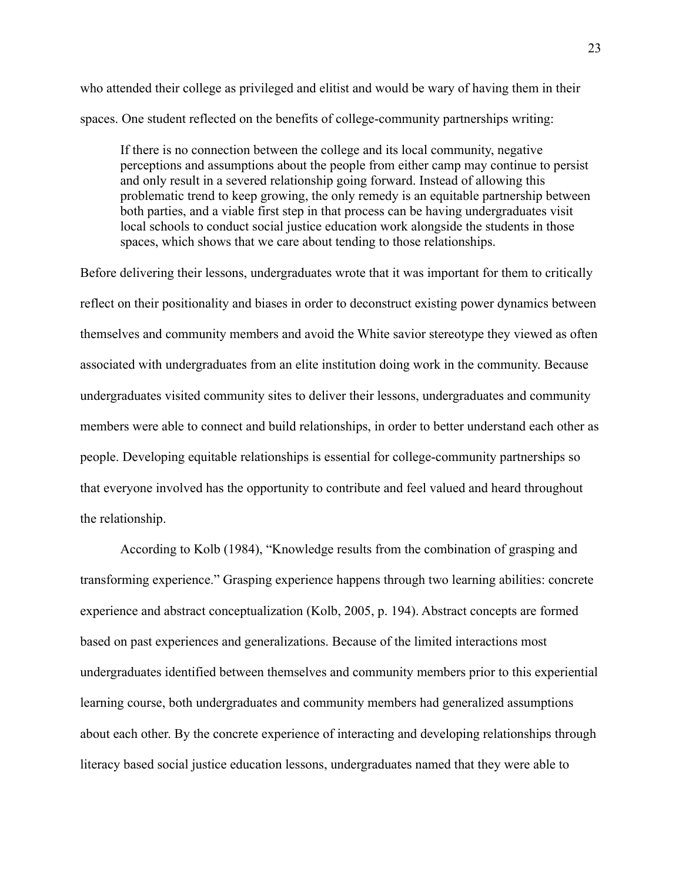who attended their college as privileged and elitist and would be wary of having them in their spaces. One student reflected on the benefits of college-community partnerships writing:

If there is no connection between the college and its local community, negative perceptions and assumptions about the people from either camp may continue to persist and only result in a severed relationship going forward. Instead of allowing this problematic trend to keep growing, the only remedy is an equitable partnership between both parties, and a viable first step in that process can be having undergraduates visit local schools to conduct social justice education work alongside the students in those spaces, which shows that we care about tending to those relationships.

Before delivering their lessons, undergraduates wrote that it was important for them to critically reflect on their positionality and biases in order to deconstruct existing power dynamics between themselves and community members and avoid the White savior stereotype they viewed as often associated with undergraduates from an elite institution doing work in the community. Because undergraduates visited community sites to deliver their lessons, undergraduates and community members were able to connect and build relationships, in order to better understand each other as people. Developing equitable relationships is essential for college-community partnerships so that everyone involved has the opportunity to contribute and feel valued and heard throughout the relationship.

According to Kolb (1984), "Knowledge results from the combination of grasping and transforming experience." Grasping experience happens through two learning abilities: concrete experience and abstract conceptualization (Kolb, 2005, p. 194). Abstract concepts are formed based on past experiences and generalizations. Because of the limited interactions most undergraduates identified between themselves and community members prior to this experiential learning course, both undergraduates and community members had generalized assumptions about each other. By the concrete experience of interacting and developing relationships through literacy based social justice education lessons, undergraduates named that they were able to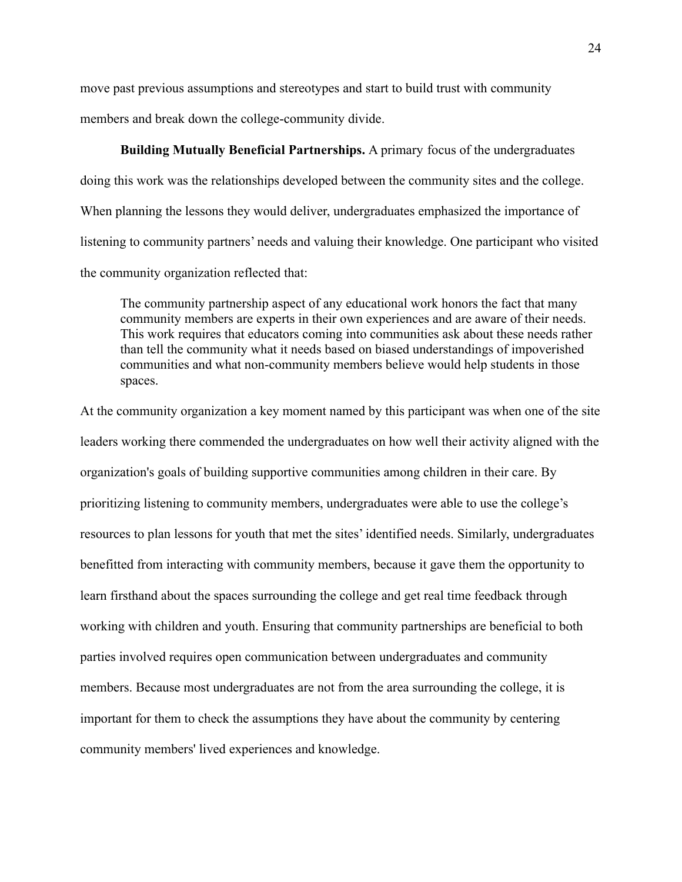move past previous assumptions and stereotypes and start to build trust with community members and break down the college-community divide.

**Building Mutually Beneficial Partnerships.** A primary focus of the undergraduates doing this work was the relationships developed between the community sites and the college. When planning the lessons they would deliver, undergraduates emphasized the importance of listening to community partners' needs and valuing their knowledge. One participant who visited the community organization reflected that:

The community partnership aspect of any educational work honors the fact that many community members are experts in their own experiences and are aware of their needs. This work requires that educators coming into communities ask about these needs rather than tell the community what it needs based on biased understandings of impoverished communities and what non-community members believe would help students in those spaces.

At the community organization a key moment named by this participant was when one of the site leaders working there commended the undergraduates on how well their activity aligned with the organization's goals of building supportive communities among children in their care. By prioritizing listening to community members, undergraduates were able to use the college's resources to plan lessons for youth that met the sites' identified needs. Similarly, undergraduates benefitted from interacting with community members, because it gave them the opportunity to learn firsthand about the spaces surrounding the college and get real time feedback through working with children and youth. Ensuring that community partnerships are beneficial to both parties involved requires open communication between undergraduates and community members. Because most undergraduates are not from the area surrounding the college, it is important for them to check the assumptions they have about the community by centering community members' lived experiences and knowledge.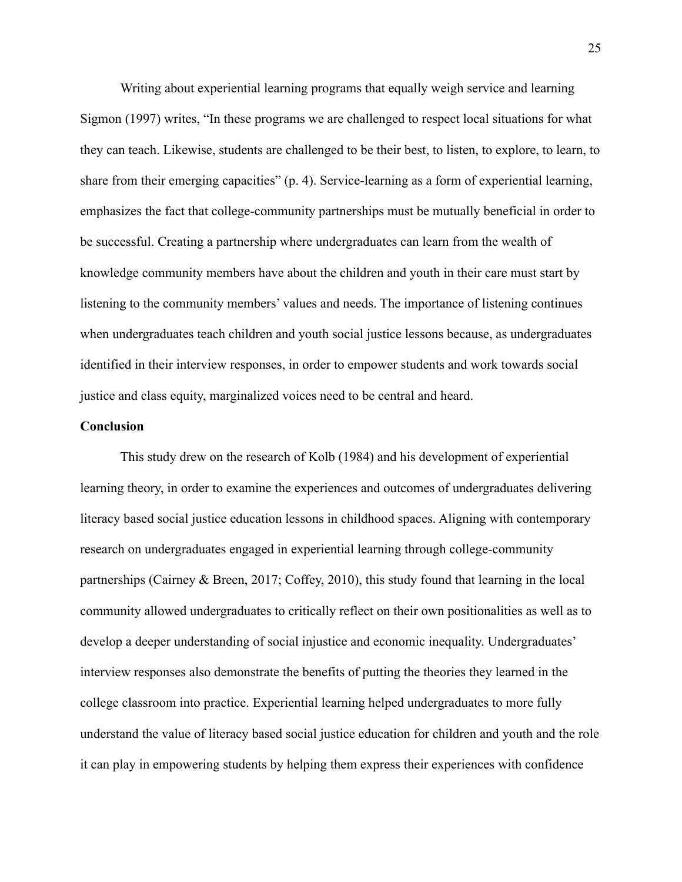Writing about experiential learning programs that equally weigh service and learning Sigmon (1997) writes, "In these programs we are challenged to respect local situations for what they can teach. Likewise, students are challenged to be their best, to listen, to explore, to learn, to share from their emerging capacities" (p. 4). Service-learning as a form of experiential learning, emphasizes the fact that college-community partnerships must be mutually beneficial in order to be successful. Creating a partnership where undergraduates can learn from the wealth of knowledge community members have about the children and youth in their care must start by listening to the community members' values and needs. The importance of listening continues when undergraduates teach children and youth social justice lessons because, as undergraduates identified in their interview responses, in order to empower students and work towards social justice and class equity, marginalized voices need to be central and heard.

#### **Conclusion**

This study drew on the research of Kolb (1984) and his development of experiential learning theory, in order to examine the experiences and outcomes of undergraduates delivering literacy based social justice education lessons in childhood spaces. Aligning with contemporary research on undergraduates engaged in experiential learning through college-community partnerships (Cairney & Breen, 2017; Coffey, 2010), this study found that learning in the local community allowed undergraduates to critically reflect on their own positionalities as well as to develop a deeper understanding of social injustice and economic inequality. Undergraduates' interview responses also demonstrate the benefits of putting the theories they learned in the college classroom into practice. Experiential learning helped undergraduates to more fully understand the value of literacy based social justice education for children and youth and the role it can play in empowering students by helping them express their experiences with confidence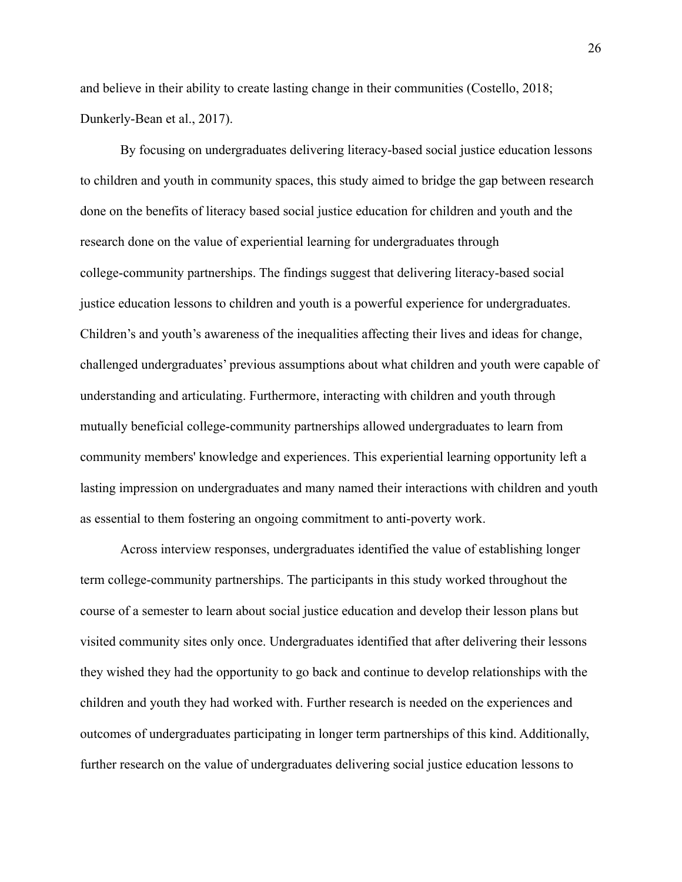and believe in their ability to create lasting change in their communities (Costello, 2018; Dunkerly-Bean et al., 2017).

By focusing on undergraduates delivering literacy-based social justice education lessons to children and youth in community spaces, this study aimed to bridge the gap between research done on the benefits of literacy based social justice education for children and youth and the research done on the value of experiential learning for undergraduates through college-community partnerships. The findings suggest that delivering literacy-based social justice education lessons to children and youth is a powerful experience for undergraduates. Children's and youth's awareness of the inequalities affecting their lives and ideas for change, challenged undergraduates' previous assumptions about what children and youth were capable of understanding and articulating. Furthermore, interacting with children and youth through mutually beneficial college-community partnerships allowed undergraduates to learn from community members' knowledge and experiences. This experiential learning opportunity left a lasting impression on undergraduates and many named their interactions with children and youth as essential to them fostering an ongoing commitment to anti-poverty work.

Across interview responses, undergraduates identified the value of establishing longer term college-community partnerships. The participants in this study worked throughout the course of a semester to learn about social justice education and develop their lesson plans but visited community sites only once. Undergraduates identified that after delivering their lessons they wished they had the opportunity to go back and continue to develop relationships with the children and youth they had worked with. Further research is needed on the experiences and outcomes of undergraduates participating in longer term partnerships of this kind. Additionally, further research on the value of undergraduates delivering social justice education lessons to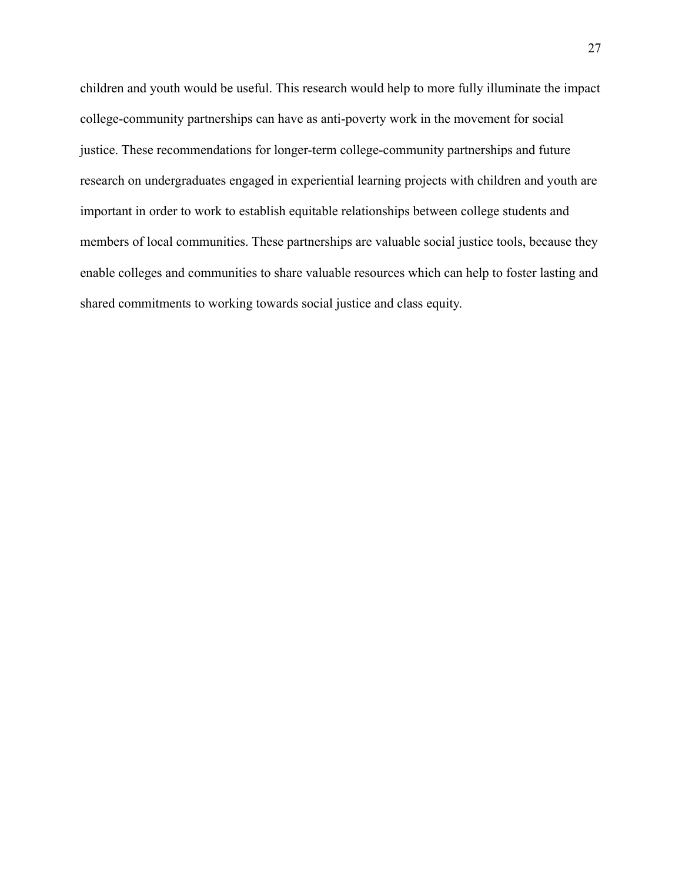children and youth would be useful. This research would help to more fully illuminate the impact college-community partnerships can have as anti-poverty work in the movement for social justice. These recommendations for longer-term college-community partnerships and future research on undergraduates engaged in experiential learning projects with children and youth are important in order to work to establish equitable relationships between college students and members of local communities. These partnerships are valuable social justice tools, because they enable colleges and communities to share valuable resources which can help to foster lasting and shared commitments to working towards social justice and class equity.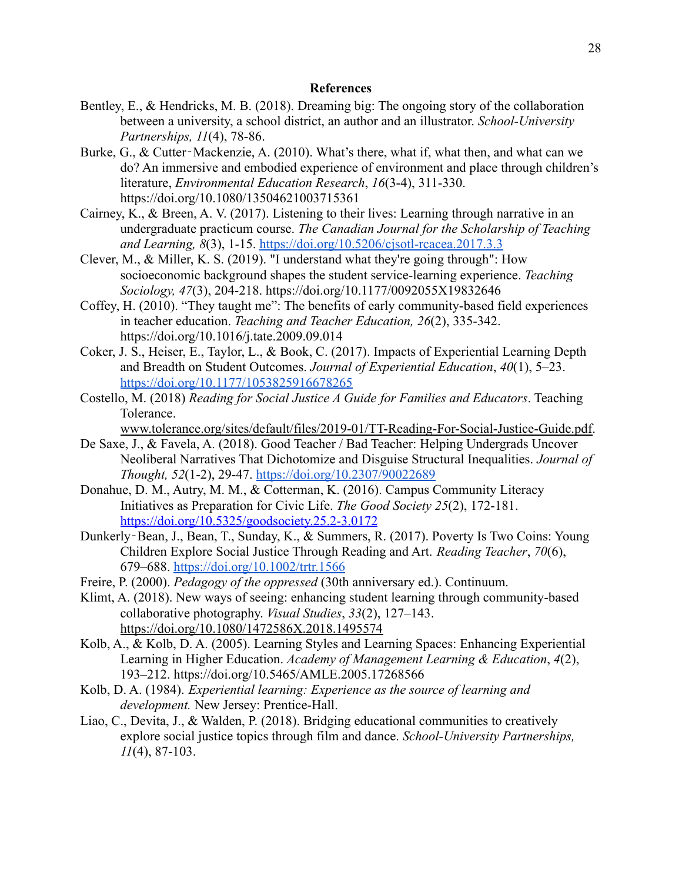# **References**

- Bentley, E., & Hendricks, M. B. (2018). Dreaming big: The ongoing story of the collaboration between a university, a school district, an author and an illustrator. *School-University Partnerships, 11*(4), 78-86.
- Burke, G., & Cutter-Mackenzie, A. (2010). What's there, what if, what then, and what can we do? An immersive and embodied experience of environment and place through children's literature, *Environmental Education Research*, *16*(3-4), 311-330. https://doi.org/10.1080/13504621003715361
- Cairney, K., & Breen, A. V. (2017). Listening to their lives: Learning through narrative in an undergraduate practicum course. *The Canadian Journal for the Scholarship of Teaching and Learning, 8*(3), 1-15. <https://doi.org/10.5206/cjsotl-rcacea.2017.3.3>
- Clever, M., & Miller, K. S. (2019). "I understand what they're going through": How socioeconomic background shapes the student service-learning experience. *Teaching Sociology, 47*(3), 204-218. [https://doi.org/10.1177/0092055X19832646](https://doi.org/10.1177%2F0092055X19832646)
- Coffey, H. (2010). "They taught me": The benefits of early community-based field experiences in teacher education. *Teaching and Teacher Education, 26*(2), 335-342. <https://doi.org/10.1016/j.tate.2009.09.014>
- Coker, J. S., Heiser, E., Taylor, L., & Book, C. (2017). Impacts of Experiential Learning Depth and Breadth on Student Outcomes. *Journal of Experiential Education*, *40*(1), 5–23. <https://doi.org/10.1177/1053825916678265>
- Costello, M. (2018) *Reading for Social Justice A Guide for Families and Educators*. Teaching Tolerance.

[www.tolerance.org/sites/default/files/2019-01/TT-Reading-For-Social-Justice-Guide.pdf.](http://www.tolerance.org/sites/default/files/2019-01/TT-Reading-For-Social-Justice-Guide.pdf)

- De Saxe, J., & Favela, A. (2018). Good Teacher / Bad Teacher: Helping Undergrads Uncover Neoliberal Narratives That Dichotomize and Disguise Structural Inequalities. *Journal of Thought, 52*(1-2), 29-47. <https://doi.org/10.2307/90022689>
- Donahue, D. M., Autry, M. M., & Cotterman, K. (2016). Campus Community Literacy Initiatives as Preparation for Civic Life. *The Good Society 25*(2), 172-181. <https://doi.org/10.5325/goodsociety.25.2-3.0172>
- Dunkerly‐Bean, J., Bean, T., Sunday, K., & Summers, R. (2017). Poverty Is Two Coins: Young Children Explore Social Justice Through Reading and Art. *Reading Teacher*, *70*(6), 679–688. <https://doi.org/10.1002/trtr.1566>
- Freire, P. (2000). *Pedagogy of the oppressed* (30th anniversary ed.). Continuum.
- Klimt, A. (2018). New ways of seeing: enhancing student learning through community-based collaborative photography. *Visual Studies*, *33*(2), 127–143. <https://doi.org/10.1080/1472586X.2018.1495574>
- Kolb, A., & Kolb, D. A. (2005). Learning Styles and Learning Spaces: Enhancing Experiential Learning in Higher Education. *Academy of Management Learning & Education*, *4*(2), 193–212. https://doi.org/10.5465/AMLE.2005.17268566
- Kolb, D. A. (1984). *Experiential learning: Experience as the source of learning and development.* New Jersey: Prentice-Hall.
- Liao, C., Devita, J., & Walden, P. (2018). Bridging educational communities to creatively explore social justice topics through film and dance. *School-University Partnerships, 11*(4), 87-103.